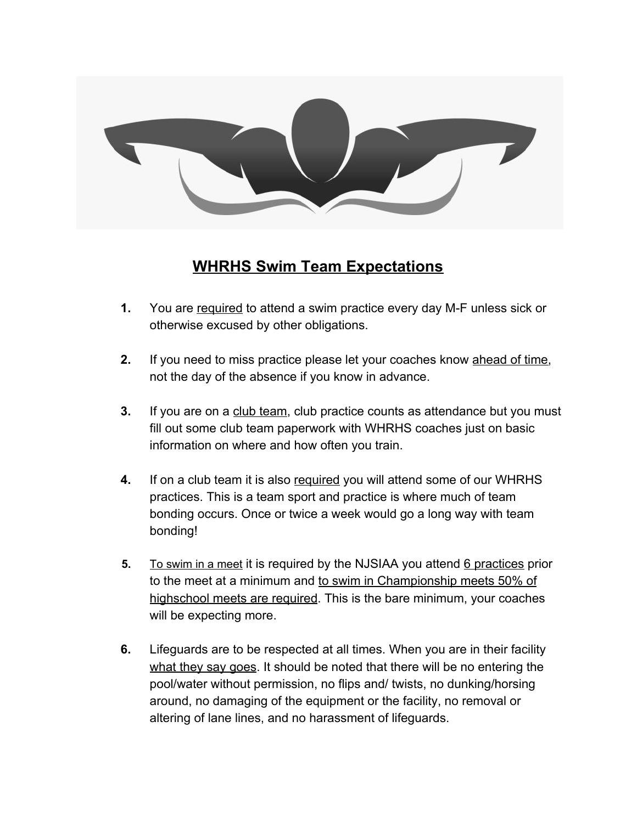

## **WHRHS Swim Team Expectations**

- **1.** You are required to attend a swim practice every day M-F unless sick or otherwise excused by other obligations.
- **2.** If you need to miss practice please let your coaches know ahead of time, not the day of the absence if you know in advance.
- **3.** If you are on a club team, club practice counts as attendance but you must fill out some club team paperwork with WHRHS coaches just on basic information on where and how often you train.
- **4.** If on a club team it is also required you will attend some of our WHRHS practices. This is a team sport and practice is where much of team bonding occurs. Once or twice a week would go a long way with team bonding!
- **5.** To swim in a meet it is required by the NJSIAA you attend 6 practices prior to the meet at a minimum and to swim in Championship meets 50% of highschool meets are required. This is the bare minimum, your coaches will be expecting more.
- **6.** Lifeguards are to be respected at all times. When you are in their facility what they say goes. It should be noted that there will be no entering the pool/water without permission, no flips and/ twists, no dunking/horsing around, no damaging of the equipment or the facility, no removal or altering of lane lines, and no harassment of lifeguards.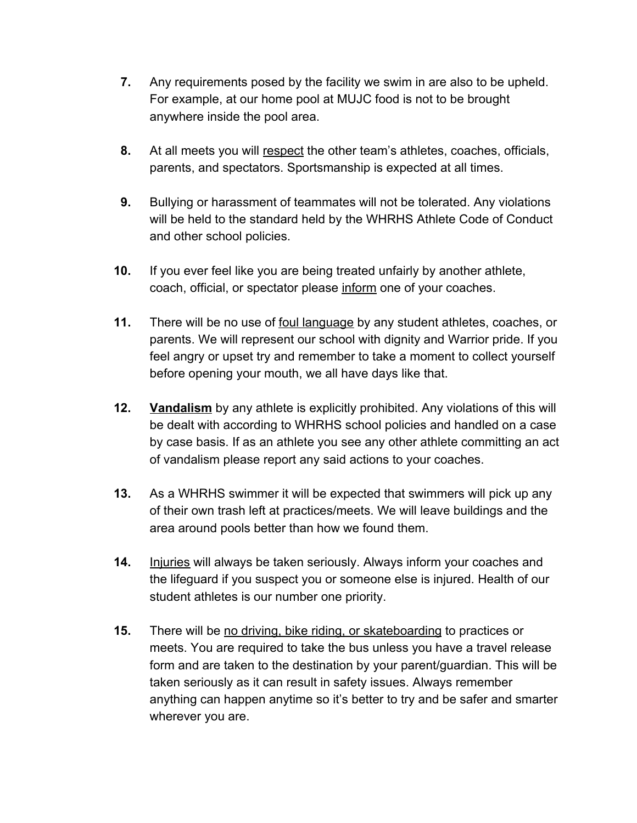- **7.** Any requirements posed by the facility we swim in are also to be upheld. For example, at our home pool at MUJC food is not to be brought anywhere inside the pool area.
- **8.** At all meets you will respect the other team's athletes, coaches, officials, parents, and spectators. Sportsmanship is expected at all times.
- **9.** Bullying or harassment of teammates will not be tolerated. Any violations will be held to the standard held by the WHRHS Athlete Code of Conduct and other school policies.
- **10.** If you ever feel like you are being treated unfairly by another athlete, coach, official, or spectator please inform one of your coaches.
- **11.** There will be no use of foul language by any student athletes, coaches, or parents. We will represent our school with dignity and Warrior pride. If you feel angry or upset try and remember to take a moment to collect yourself before opening your mouth, we all have days like that.
- **12. Vandalism** by any athlete is explicitly prohibited. Any violations of this will be dealt with according to WHRHS school policies and handled on a case by case basis. If as an athlete you see any other athlete committing an act of vandalism please report any said actions to your coaches.
- **13.** As a WHRHS swimmer it will be expected that swimmers will pick up any of their own trash left at practices/meets. We will leave buildings and the area around pools better than how we found them.
- **14.** Injuries will always be taken seriously. Always inform your coaches and the lifeguard if you suspect you or someone else is injured. Health of our student athletes is our number one priority.
- **15.** There will be no driving, bike riding, or skateboarding to practices or meets. You are required to take the bus unless you have a travel release form and are taken to the destination by your parent/guardian. This will be taken seriously as it can result in safety issues. Always remember anything can happen anytime so it's better to try and be safer and smarter wherever you are.